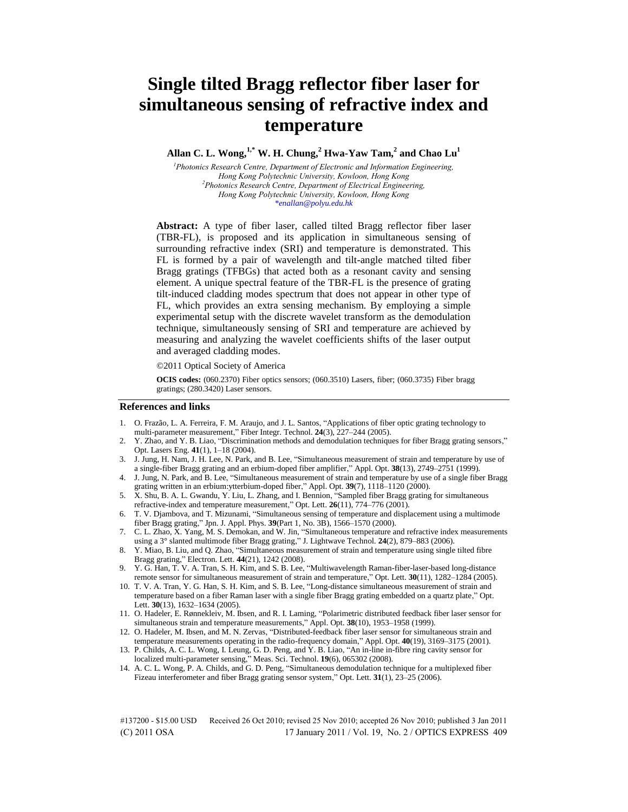# **Single tilted Bragg reflector fiber laser for simultaneous sensing of refractive index and temperature**

# **Allan C. L. Wong,1,\* W. H. Chung,<sup>2</sup> Hwa-Yaw Tam,<sup>2</sup> and Chao Lu<sup>1</sup>**

*<sup>1</sup>Photonics Research Centre, Department of Electronic and Information Engineering, Hong Kong Polytechnic University, Kowloon, Hong Kong <sup>2</sup>Photonics Research Centre, Department of Electrical Engineering, Hong Kong Polytechnic University, Kowloon, Hong Kong \*enallan@polyu.edu.hk* 

**Abstract:** A type of fiber laser, called tilted Bragg reflector fiber laser (TBR-FL), is proposed and its application in simultaneous sensing of surrounding refractive index (SRI) and temperature is demonstrated. This FL is formed by a pair of wavelength and tilt-angle matched tilted fiber Bragg gratings (TFBGs) that acted both as a resonant cavity and sensing element. A unique spectral feature of the TBR-FL is the presence of grating tilt-induced cladding modes spectrum that does not appear in other type of FL, which provides an extra sensing mechanism. By employing a simple experimental setup with the discrete wavelet transform as the demodulation technique, simultaneously sensing of SRI and temperature are achieved by measuring and analyzing the wavelet coefficients shifts of the laser output and averaged cladding modes.

©2011 Optical Society of America

**OCIS codes:** (060.2370) Fiber optics sensors; (060.3510) Lasers, fiber; (060.3735) Fiber bragg gratings; (280.3420) Laser sensors.

#### **References and links**

- 1. O. Frazão, L. A. Ferreira, F. M. Araujo, and J. L. Santos, "Applications of fiber optic grating technology to multi-parameter measurement," Fiber Integr. Technol. **24**(3), 227–244 (2005).
- 2. Y. Zhao, and Y. B. Liao, "Discrimination methods and demodulation techniques for fiber Bragg grating sensors," Opt. Lasers Eng. **41**(1), 1–18 (2004).
- 3. J. Jung, H. Nam, J. H. Lee, N. Park, and B. Lee, "Simultaneous measurement of strain and temperature by use of a single-fiber Bragg grating and an erbium-doped fiber amplifier," Appl. Opt. **38**(13), 2749–2751 (1999).
- 4. J. Jung, N. Park, and B. Lee, "Simultaneous measurement of strain and temperature by use of a single fiber Bragg grating written in an erbium:ytterbium-doped fiber," Appl. Opt. **39**(7), 1118–1120 (2000).
- 5. X. Shu, B. A. L. Gwandu, Y. Liu, L. Zhang, and I. Bennion, "Sampled fiber Bragg grating for simultaneous refractive-index and temperature measurement," Opt. Lett. **26**(11), 774–776 (2001).
- 6. T. V. Djambova, and T. Mizunami, "Simultaneous sensing of temperature and displacement using a multimode fiber Bragg grating," Jpn. J. Appl. Phys. **39**(Part 1, No. 3B), 1566–1570 (2000).
- 7. C. L. Zhao, X. Yang, M. S. Demokan, and W. Jin, "Simultaneous temperature and refractive index measurements using a 3° slanted multimode fiber Bragg grating," J. Lightwave Technol. **24**(2), 879–883 (2006).
- 8. Y. Miao, B. Liu, and Q. Zhao, "Simultaneous measurement of strain and temperature using single tilted fibre Bragg grating," Electron. Lett. **44**(21), 1242 (2008).
- 9. Y. G. Han, T. V. A. Tran, S. H. Kim, and S. B. Lee, "Multiwavelength Raman-fiber-laser-based long-distance remote sensor for simultaneous measurement of strain and temperature," Opt. Lett. **30**(11), 1282–1284 (2005).
- 10. T. V. A. Tran, Y. G. Han, S. H. Kim, and S. B. Lee, "Long-distance simultaneous measurement of strain and temperature based on a fiber Raman laser with a single fiber Bragg grating embedded on a quartz plate," Opt. Lett. **30**(13), 1632–1634 (2005).
- 11. O. Hadeler, E. Rønnekleiv, M. Ibsen, and R. I. Laming, "Polarimetric distributed feedback fiber laser sensor for simultaneous strain and temperature measurements," Appl. Opt. **38**(10), 1953–1958 (1999).
- 12. O. Hadeler, M. Ibsen, and M. N. Zervas, "Distributed-feedback fiber laser sensor for simultaneous strain and temperature measurements operating in the radio-frequency domain," Appl. Opt. **40**(19), 3169–3175 (2001).
- 13. P. Childs, A. C. L. Wong, I. Leung, G. D. Peng, and Y. B. Liao, "An in-line in-fibre ring cavity sensor for localized multi-parameter sensing," Meas. Sci. Technol. **19**(6), 065302 (2008).
- 14. A. C. L. Wong, P. A. Childs, and G. D. Peng, "Simultaneous demodulation technique for a multiplexed fiber Fizeau interferometer and fiber Bragg grating sensor system," Opt. Lett. **31**(1), 23–25 (2006).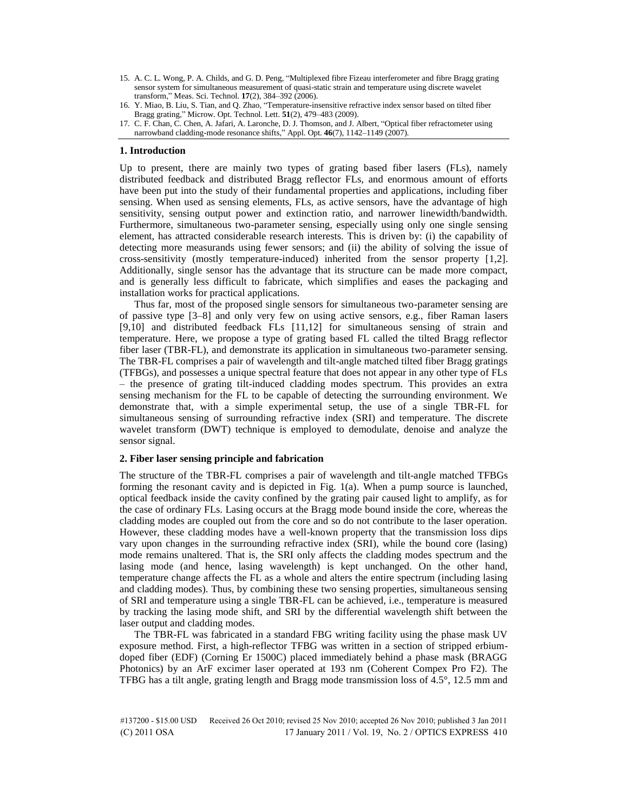- 15. A. C. L. Wong, P. A. Childs, and G. D. Peng, "Multiplexed fibre Fizeau interferometer and fibre Bragg grating sensor system for simultaneous measurement of quasi-static strain and temperature using discrete wavelet transform," Meas. Sci. Technol. **17**(2), 384–392 (2006).
- 16. Y. Miao, B. Liu, S. Tian, and Q. Zhao, "Temperature-insensitive refractive index sensor based on tilted fiber Bragg grating," Microw. Opt. Technol. Lett. **51**(2), 479–483 (2009).
- 17. C. F. Chan, C. Chen, A. Jafari, A. Laronche, D. J. Thomson, and J. Albert, "Optical fiber refractometer using narrowband cladding-mode resonance shifts," Appl. Opt. **46**(7), 1142–1149 (2007).

# **1. Introduction**

Up to present, there are mainly two types of grating based fiber lasers (FLs), namely distributed feedback and distributed Bragg reflector FLs, and enormous amount of efforts have been put into the study of their fundamental properties and applications, including fiber sensing. When used as sensing elements, FLs, as active sensors, have the advantage of high sensitivity, sensing output power and extinction ratio, and narrower linewidth/bandwidth. Furthermore, simultaneous two-parameter sensing, especially using only one single sensing element, has attracted considerable research interests. This is driven by: (i) the capability of detecting more measurands using fewer sensors; and (ii) the ability of solving the issue of cross-sensitivity (mostly temperature-induced) inherited from the sensor property [1,2]. Additionally, single sensor has the advantage that its structure can be made more compact, and is generally less difficult to fabricate, which simplifies and eases the packaging and installation works for practical applications.

Thus far, most of the proposed single sensors for simultaneous two-parameter sensing are of passive type [3–8] and only very few on using active sensors, e.g., fiber Raman lasers [9,10] and distributed feedback FLs [11,12] for simultaneous sensing of strain and temperature. Here, we propose a type of grating based FL called the tilted Bragg reflector fiber laser (TBR-FL), and demonstrate its application in simultaneous two-parameter sensing. The TBR-FL comprises a pair of wavelength and tilt-angle matched tilted fiber Bragg gratings (TFBGs), and possesses a unique spectral feature that does not appear in any other type of FLs – the presence of grating tilt-induced cladding modes spectrum. This provides an extra sensing mechanism for the FL to be capable of detecting the surrounding environment. We demonstrate that, with a simple experimental setup, the use of a single TBR-FL for simultaneous sensing of surrounding refractive index (SRI) and temperature. The discrete wavelet transform (DWT) technique is employed to demodulate, denoise and analyze the sensor signal.

# **2. Fiber laser sensing principle and fabrication**

The structure of the TBR-FL comprises a pair of wavelength and tilt-angle matched TFBGs forming the resonant cavity and is depicted in Fig. 1(a). When a pump source is launched, optical feedback inside the cavity confined by the grating pair caused light to amplify, as for the case of ordinary FLs. Lasing occurs at the Bragg mode bound inside the core, whereas the cladding modes are coupled out from the core and so do not contribute to the laser operation. However, these cladding modes have a well-known property that the transmission loss dips vary upon changes in the surrounding refractive index (SRI), while the bound core (lasing) mode remains unaltered. That is, the SRI only affects the cladding modes spectrum and the lasing mode (and hence, lasing wavelength) is kept unchanged. On the other hand, temperature change affects the FL as a whole and alters the entire spectrum (including lasing and cladding modes). Thus, by combining these two sensing properties, simultaneous sensing of SRI and temperature using a single TBR-FL can be achieved, i.e., temperature is measured by tracking the lasing mode shift, and SRI by the differential wavelength shift between the laser output and cladding modes.

The TBR-FL was fabricated in a standard FBG writing facility using the phase mask UV exposure method. First, a high-reflector TFBG was written in a section of stripped erbiumdoped fiber (EDF) (Corning Er 1500C) placed immediately behind a phase mask (BRAGG Photonics) by an ArF excimer laser operated at 193 nm (Coherent Compex Pro F2). The TFBG has a tilt angle, grating length and Bragg mode transmission loss of 4.5°, 12.5 mm and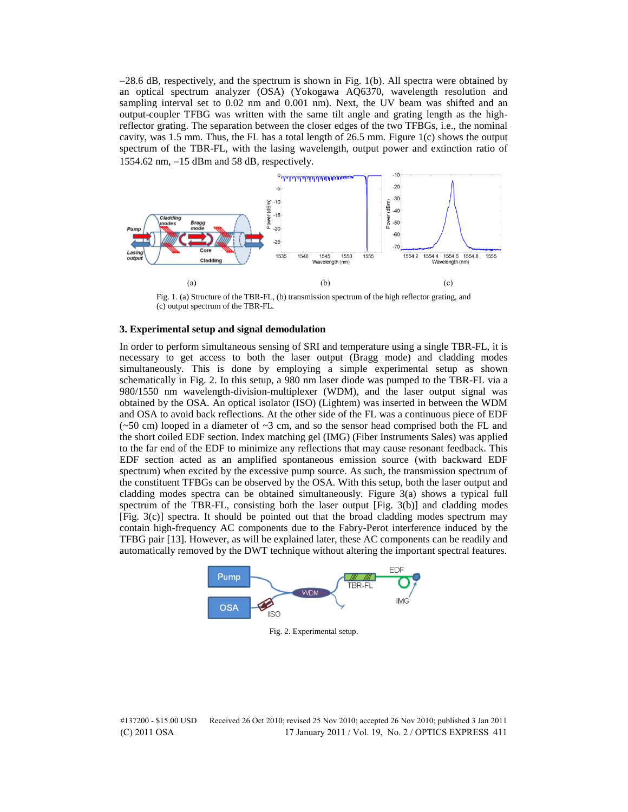$-28.6$  dB, respectively, and the spectrum is shown in Fig. 1(b). All spectra were obtained by an optical spectrum analyzer (OSA) (Yokogawa AQ6370, wavelength resolution and sampling interval set to 0.02 nm and 0.001 nm). Next, the UV beam was shifted and an output-coupler TFBG was written with the same tilt angle and grating length as the highreflector grating. The separation between the closer edges of the two TFBGs, i.e., the nominal cavity, was 1.5 mm. Thus, the FL has a total length of 26.5 mm. Figure 1(c) shows the output spectrum of the TBR-FL, with the lasing wavelength, output power and extinction ratio of 1554.62 nm, 15 dBm and 58 dB, respectively.



Fig. 1. (a) Structure of the TBR-FL, (b) transmission spectrum of the high reflector grating, and (c) output spectrum of the TBR-FL.

#### **3. Experimental setup and signal demodulation**

In order to perform simultaneous sensing of SRI and temperature using a single TBR-FL, it is necessary to get access to both the laser output (Bragg mode) and cladding modes simultaneously. This is done by employing a simple experimental setup as shown schematically in Fig. 2. In this setup, a 980 nm laser diode was pumped to the TBR-FL via a 980/1550 nm wavelength-division-multiplexer (WDM), and the laser output signal was obtained by the OSA. An optical isolator (ISO) (Lightem) was inserted in between the WDM and OSA to avoid back reflections. At the other side of the FL was a continuous piece of EDF  $(\sim 50 \text{ cm})$  looped in a diameter of  $\sim 3 \text{ cm}$ , and so the sensor head comprised both the FL and the short coiled EDF section. Index matching gel (IMG) (Fiber Instruments Sales) was applied to the far end of the EDF to minimize any reflections that may cause resonant feedback. This EDF section acted as an amplified spontaneous emission source (with backward EDF spectrum) when excited by the excessive pump source. As such, the transmission spectrum of the constituent TFBGs can be observed by the OSA. With this setup, both the laser output and cladding modes spectra can be obtained simultaneously. Figure 3(a) shows a typical full spectrum of the TBR-FL, consisting both the laser output [Fig. 3(b)] and cladding modes [Fig. 3(c)] spectra. It should be pointed out that the broad cladding modes spectrum may contain high-frequency AC components due to the Fabry-Perot interference induced by the TFBG pair [13]. However, as will be explained later, these AC components can be readily and automatically removed by the DWT technique without altering the important spectral features.



Fig. 2. Experimental setup.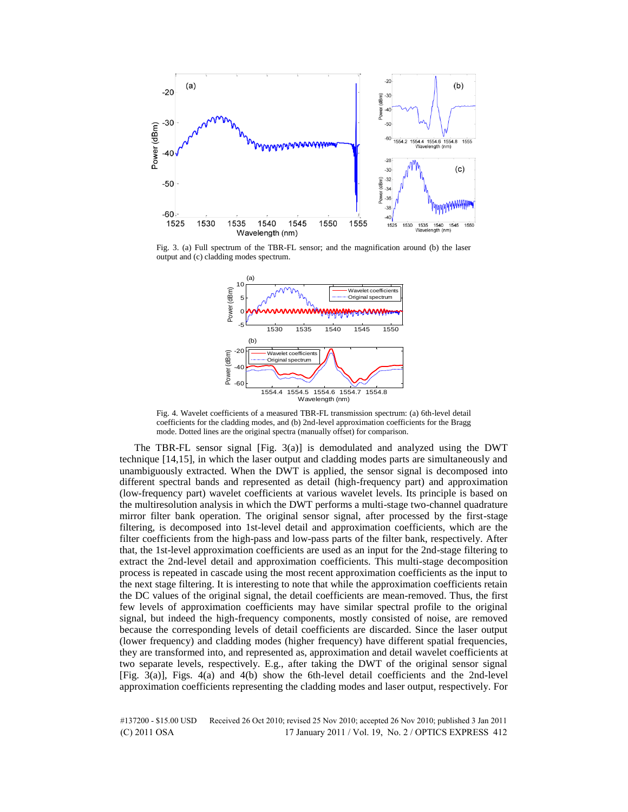

Fig. 3. (a) Full spectrum of the TBR-FL sensor; and the magnification around (b) the laser output and (c) cladding modes spectrum.



Fig. 4. Wavelet coefficients of a measured TBR-FL transmission spectrum: (a) 6th-level detail coefficients for the cladding modes, and (b) 2nd-level approximation coefficients for the Bragg mode. Dotted lines are the original spectra (manually offset) for comparison.

The TBR-FL sensor signal [Fig. 3(a)] is demodulated and analyzed using the DWT technique [14,15], in which the laser output and cladding modes parts are simultaneously and unambiguously extracted. When the DWT is applied, the sensor signal is decomposed into different spectral bands and represented as detail (high-frequency part) and approximation (low-frequency part) wavelet coefficients at various wavelet levels. Its principle is based on the multiresolution analysis in which the DWT performs a multi-stage two-channel quadrature mirror filter bank operation. The original sensor signal, after processed by the first-stage filtering, is decomposed into 1st-level detail and approximation coefficients, which are the filter coefficients from the high-pass and low-pass parts of the filter bank, respectively. After that, the 1st-level approximation coefficients are used as an input for the 2nd-stage filtering to extract the 2nd-level detail and approximation coefficients. This multi-stage decomposition process is repeated in cascade using the most recent approximation coefficients as the input to the next stage filtering. It is interesting to note that while the approximation coefficients retain the DC values of the original signal, the detail coefficients are mean-removed. Thus, the first few levels of approximation coefficients may have similar spectral profile to the original signal, but indeed the high-frequency components, mostly consisted of noise, are removed because the corresponding levels of detail coefficients are discarded. Since the laser output (lower frequency) and cladding modes (higher frequency) have different spatial frequencies, they are transformed into, and represented as, approximation and detail wavelet coefficients at two separate levels, respectively. E.g., after taking the DWT of the original sensor signal [Fig. 3(a)], Figs. 4(a) and 4(b) show the 6th-level detail coefficients and the 2nd-level approximation coefficients representing the cladding modes and laser output, respectively. For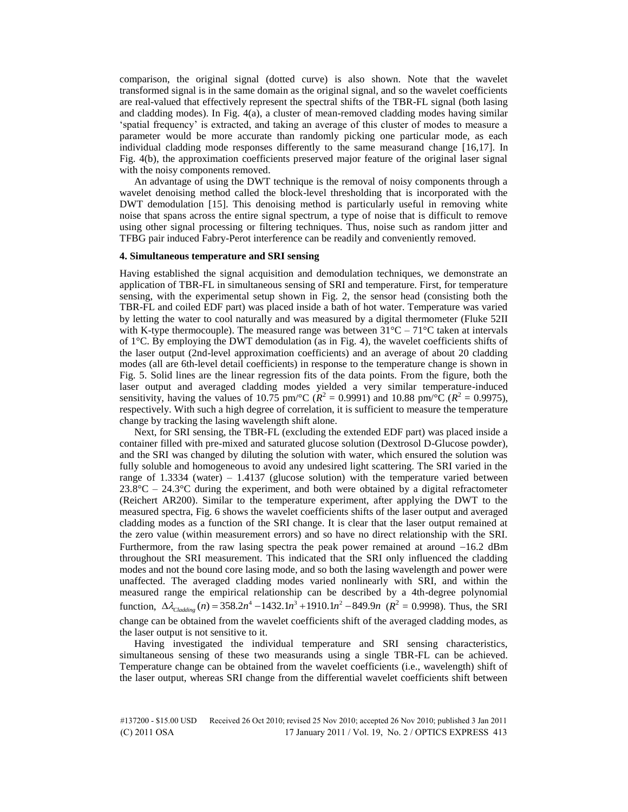comparison, the original signal (dotted curve) is also shown. Note that the wavelet transformed signal is in the same domain as the original signal, and so the wavelet coefficients are real-valued that effectively represent the spectral shifts of the TBR-FL signal (both lasing and cladding modes). In Fig.  $4(a)$ , a cluster of mean-removed cladding modes having similar "spatial frequency" is extracted, and taking an average of this cluster of modes to measure a parameter would be more accurate than randomly picking one particular mode, as each individual cladding mode responses differently to the same measurand change [16,17]. In Fig. 4(b), the approximation coefficients preserved major feature of the original laser signal with the noisy components removed.

An advantage of using the DWT technique is the removal of noisy components through a wavelet denoising method called the block-level thresholding that is incorporated with the DWT demodulation [15]. This denoising method is particularly useful in removing white noise that spans across the entire signal spectrum, a type of noise that is difficult to remove using other signal processing or filtering techniques. Thus, noise such as random jitter and TFBG pair induced Fabry-Perot interference can be readily and conveniently removed.

# **4. Simultaneous temperature and SRI sensing**

Having established the signal acquisition and demodulation techniques, we demonstrate an application of TBR-FL in simultaneous sensing of SRI and temperature. First, for temperature sensing, with the experimental setup shown in Fig. 2, the sensor head (consisting both the TBR-FL and coiled EDF part) was placed inside a bath of hot water. Temperature was varied by letting the water to cool naturally and was measured by a digital thermometer (Fluke 52II with K-type thermocouple). The measured range was between  $31^{\circ}C - 71^{\circ}C$  taken at intervals of  $1^{\circ}$ C. By employing the DWT demodulation (as in Fig. 4), the wavelet coefficients shifts of the laser output (2nd-level approximation coefficients) and an average of about 20 cladding modes (all are 6th-level detail coefficients) in response to the temperature change is shown in Fig. 5. Solid lines are the linear regression fits of the data points. From the figure, both the laser output and averaged cladding modes yielded a very similar temperature-induced sensitivity, having the values of 10.75 pm/°C ( $R^2 = 0.9991$ ) and 10.88 pm/°C ( $R^2 = 0.9975$ ), respectively. With such a high degree of correlation, it is sufficient to measure the temperature change by tracking the lasing wavelength shift alone.

Next, for SRI sensing, the TBR-FL (excluding the extended EDF part) was placed inside a container filled with pre-mixed and saturated glucose solution (Dextrosol D-Glucose powder), and the SRI was changed by diluting the solution with water, which ensured the solution was fully soluble and homogeneous to avoid any undesired light scattering. The SRI varied in the range of 1.3334 (water) – 1.4137 (glucose solution) with the temperature varied between  $23.8^{\circ}$ C –  $24.3^{\circ}$ C during the experiment, and both were obtained by a digital refractometer (Reichert AR200). Similar to the temperature experiment, after applying the DWT to the measured spectra, Fig. 6 shows the wavelet coefficients shifts of the laser output and averaged cladding modes as a function of the SRI change. It is clear that the laser output remained at the zero value (within measurement errors) and so have no direct relationship with the SRI. Furthermore, from the raw lasing spectra the peak power remained at around  $-16.2$  dBm throughout the SRI measurement. This indicated that the SRI only influenced the cladding modes and not the bound core lasing mode, and so both the lasing wavelength and power were unaffected. The averaged cladding modes varied nonlinearly with SRI, and within the measured range the empirical relationship can be described by a 4th-degree polynomial measured range the empirical relationship can be described by a 4th-degree polynomial function,  $\Delta \lambda_{\text{Cladding}}(n) = 358.2n^4 - 1432.1n^3 + 1910.1n^2 - 849.9n$  ( $R^2 = 0.9998$ ). Thus, the SRI change can be obtained from the wavelet coefficients shift of the averaged cladding modes, as the laser output is not sensitive to it.

Having investigated the individual temperature and SRI sensing characteristics, simultaneous sensing of these two measurands using a single TBR-FL can be achieved. Temperature change can be obtained from the wavelet coefficients (i.e., wavelength) shift of the laser output, whereas SRI change from the differential wavelet coefficients shift between